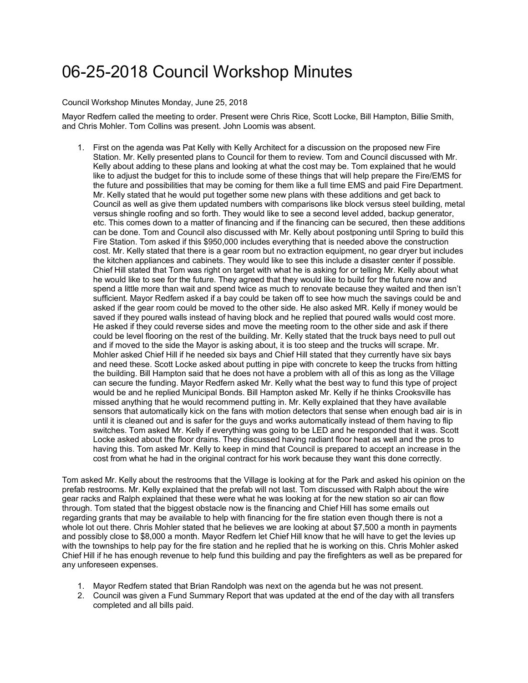## 06-25-2018 Council Workshop Minutes

Council Workshop Minutes Monday, June 25, 2018

Mayor Redfern called the meeting to order. Present were Chris Rice, Scott Locke, Bill Hampton, Billie Smith, and Chris Mohler. Tom Collins was present. John Loomis was absent.

1. First on the agenda was Pat Kelly with Kelly Architect for a discussion on the proposed new Fire Station. Mr. Kelly presented plans to Council for them to review. Tom and Council discussed with Mr. Kelly about adding to these plans and looking at what the cost may be. Tom explained that he would like to adjust the budget for this to include some of these things that will help prepare the Fire/EMS for the future and possibilities that may be coming for them like a full time EMS and paid Fire Department. Mr. Kelly stated that he would put together some new plans with these additions and get back to Council as well as give them updated numbers with comparisons like block versus steel building, metal versus shingle roofing and so forth. They would like to see a second level added, backup generator, etc. This comes down to a matter of financing and if the financing can be secured, then these additions can be done. Tom and Council also discussed with Mr. Kelly about postponing until Spring to build this Fire Station. Tom asked if this \$950,000 includes everything that is needed above the construction cost. Mr. Kelly stated that there is a gear room but no extraction equipment, no gear dryer but includes the kitchen appliances and cabinets. They would like to see this include a disaster center if possible. Chief Hill stated that Tom was right on target with what he is asking for or telling Mr. Kelly about what he would like to see for the future. They agreed that they would like to build for the future now and spend a little more than wait and spend twice as much to renovate because they waited and then isn't sufficient. Mayor Redfern asked if a bay could be taken off to see how much the savings could be and asked if the gear room could be moved to the other side. He also asked MR. Kelly if money would be saved if they poured walls instead of having block and he replied that poured walls would cost more. He asked if they could reverse sides and move the meeting room to the other side and ask if there could be level flooring on the rest of the building. Mr. Kelly stated that the truck bays need to pull out and if moved to the side the Mayor is asking about, it is too steep and the trucks will scrape. Mr. Mohler asked Chief Hill if he needed six bays and Chief Hill stated that they currently have six bays and need these. Scott Locke asked about putting in pipe with concrete to keep the trucks from hitting the building. Bill Hampton said that he does not have a problem with all of this as long as the Village can secure the funding. Mayor Redfern asked Mr. Kelly what the best way to fund this type of project would be and he replied Municipal Bonds. Bill Hampton asked Mr. Kelly if he thinks Crooksville has missed anything that he would recommend putting in. Mr. Kelly explained that they have available sensors that automatically kick on the fans with motion detectors that sense when enough bad air is in until it is cleaned out and is safer for the guys and works automatically instead of them having to flip switches. Tom asked Mr. Kelly if everything was going to be LED and he responded that it was. Scott Locke asked about the floor drains. They discussed having radiant floor heat as well and the pros to having this. Tom asked Mr. Kelly to keep in mind that Council is prepared to accept an increase in the cost from what he had in the original contract for his work because they want this done correctly.

Tom asked Mr. Kelly about the restrooms that the Village is looking at for the Park and asked his opinion on the prefab restrooms. Mr. Kelly explained that the prefab will not last. Tom discussed with Ralph about the wire gear racks and Ralph explained that these were what he was looking at for the new station so air can flow through. Tom stated that the biggest obstacle now is the financing and Chief Hill has some emails out regarding grants that may be available to help with financing for the fire station even though there is not a whole lot out there. Chris Mohler stated that he believes we are looking at about \$7,500 a month in payments and possibly close to \$8,000 a month. Mayor Redfern let Chief Hill know that he will have to get the levies up with the townships to help pay for the fire station and he replied that he is working on this. Chris Mohler asked Chief Hill if he has enough revenue to help fund this building and pay the firefighters as well as be prepared for any unforeseen expenses.

- 1. Mayor Redfern stated that Brian Randolph was next on the agenda but he was not present.
- 2. Council was given a Fund Summary Report that was updated at the end of the day with all transfers completed and all bills paid.